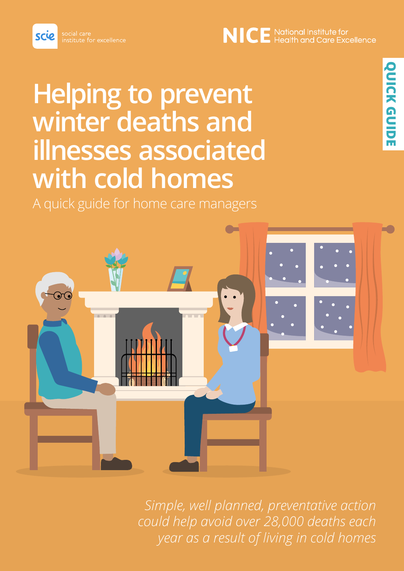#### scie stitute for excellence

# **Helping to prevent winter deaths and illnesses associated with cold homes**

A quick guide for home care managers



*Simple, well planned, preventative action could help avoid over 28,000 deaths each year as a result of living in cold homes*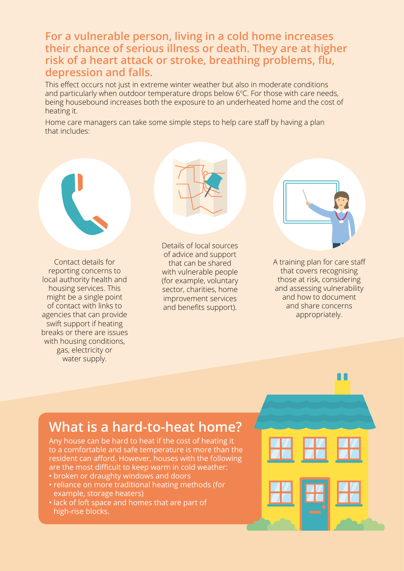**For a vulnerable person, living in a cold home increases their chance of serious illness or death. They are at higher risk of a heart attack or stroke, breathing problems, flu, depression and falls.**

This effect occurs not just in extreme winter weather but also in moderate conditions and particularly when outdoor temperature drops below 6°C. For those with care needs, being housebound increases both the exposure to an underheated home and the cost of heating it.

Home care managers can take some simple steps to help care staff by having a plan that includes:

Contact details for reporting concerns to local authority health and housing services. This might be a single point of contact with links to agencies that can provide swift support if heating breaks or there are issues with housing conditions, gas, electricity or water supply.

Details of local sources of advice and support that can be shared with vulnerable people (for example, voluntary sector, charities, home improvement services and benefits support).

A training plan for care staff that covers recognising those at risk, considering and assessing vulnerability and how to document and share concerns appropriately.

#### **What is a hard-to-heat home?**

Any house can be hard to heat if the cost of heating it to a comfortable and safe temperature is more than the resident can afford. However, houses with the following are the most difficult to keep warm in cold weather:

- broken or draughty windows and doors
- reliance on more traditional heating methods (for example, storage heaters)
- lack of loft space and homes that are part of high-rise blocks.



11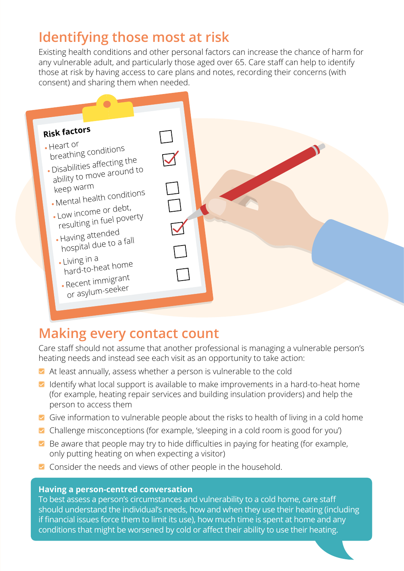## **Identifying those most at risk**

Existing health conditions and other personal factors can increase the chance of harm for any vulnerable adult, and particularly those aged over 65. Care staff can help to identify those at risk by having access to care plans and notes, recording their concerns (with consent) and sharing them when needed.



## **Making every contact count**

Care staff should not assume that another professional is managing a vulnerable person's heating needs and instead see each visit as an opportunity to take action:

- At least annually, assess whether a person is vulnerable to the cold
- I Identify what local support is available to make improvements in a hard-to-heat home (for example, heating repair services and building insulation providers) and help the person to access them
- Give information to vulnerable people about the risks to health of living in a cold home
- **Challenge misconceptions (for example, 'sleeping in a cold room is good for you')**
- $\blacksquare$  Be aware that people may try to hide difficulties in paying for heating (for example, only putting heating on when expecting a visitor)
- **Z** Consider the needs and views of other people in the household.

#### **Having a person-centred conversation**

To best assess a person's circumstances and vulnerability to a cold home, care staff should understand the individual's needs, how and when they use their heating (including if financial issues force them to limit its use), how much time is spent at home and any conditions that might be worsened by cold or affect their ability to use their heating.